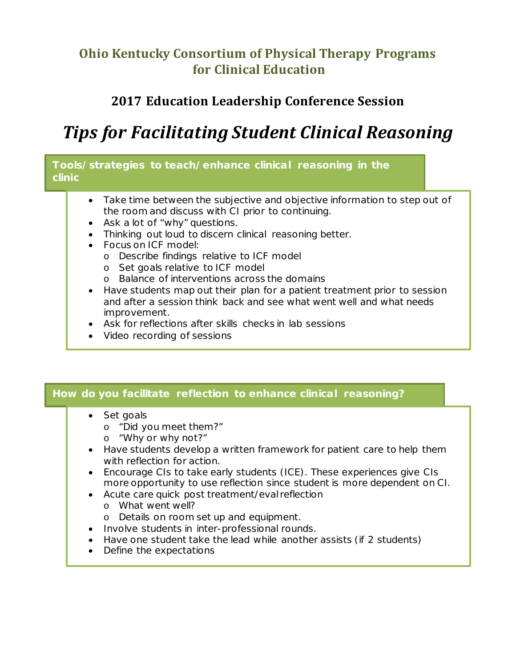## **Ohio Kentucky Consortium of Physical Therapy Programs for Clinical Education**

## **2017 Education Leadership Conference Session**

# *Tips for Facilitating Student Clinical Reasoning*

### **Tools/strategies to teach/enhance clinical reasoning in the clinic**

- Take time between the subjective and objective information to step out of the room and discuss with CI prior to continuing.
- Ask a lot of "why" questions.
- Thinking out loud to discern clinical reasoning better.
- Focus on ICF model:
	- o Describe findings relative to ICF model
	- o Set goals relative to ICF model
	- o Balance of interventions across the domains
- Have students map out their plan for a patient treatment prior to session and after a session think back and see what went well and what needs improvement.
- Ask for reflections after skills checks in lab sessions
- Video recording of sessions

### **How do you facilitate reflection to enhance clinical reasoning?**

- Set goals
	- o "Did you meet them?"
	- o "Why or why not?"
- Have students develop a written framework for patient care to help them with reflection for action.
- Encourage CIs to take early students (ICE). These experiences give CIs more opportunity to use reflection since student is more dependent on CI.
- Acute care quick post treatment/eval reflection
	- o What went well?
	- o Details on room set up and equipment.
- Involve students in inter-professional rounds.
- Have one student take the lead while another assists (if 2 students)
- Define the expectations